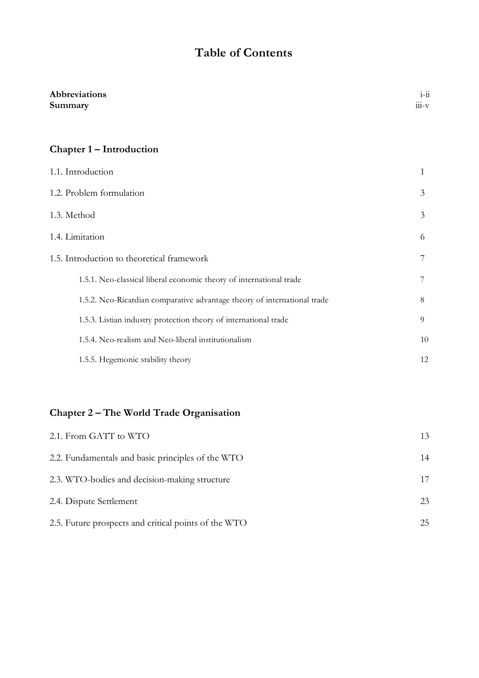# **Table of Contents**

| Abbreviations<br>Summary                                                 | $1 - 11$<br>$111-V$ |
|--------------------------------------------------------------------------|---------------------|
| Chapter 1 – Introduction                                                 |                     |
| 1.1. Introduction                                                        | 1                   |
| 1.2. Problem formulation                                                 | 3                   |
| 1.3. Method                                                              | 3                   |
| 1.4. Limitation                                                          | 6                   |
| 1.5. Introduction to theoretical framework                               |                     |
| 1.5.1. Neo-classical liberal economic theory of international trade      | 7                   |
| 1.5.2. Neo-Ricardian comparative advantage theory of international trade | 8                   |
| 1.5.3. Listian industry protection theory of international trade         | 9                   |
| 1.5.4. Neo-realism and Neo-liberal institutionalism                      | 10                  |
| 1.5.5. Hegemonic stability theory                                        | 12                  |

### **Chapter 2 – The World Trade Organisation**

| 2.1. From GATT to WTO                                | 13 |
|------------------------------------------------------|----|
| 2.2. Fundamentals and basic principles of the WTO    | 14 |
| 2.3. WTO-bodies and decision-making structure        |    |
| 2.4. Dispute Settlement                              | 23 |
| 2.5. Future prospects and critical points of the WTO | 25 |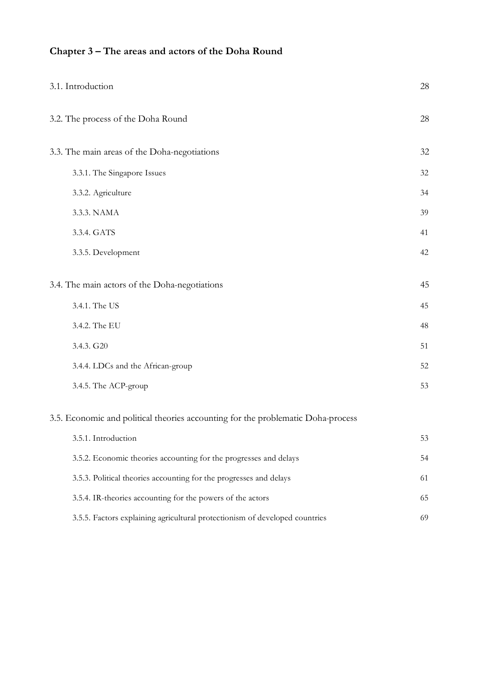## **Chapter 3 – The areas and actors of the Doha Round**

| 3.1. Introduction                                                                | 28 |
|----------------------------------------------------------------------------------|----|
| 3.2. The process of the Doha Round                                               | 28 |
| 3.3. The main areas of the Doha-negotiations                                     | 32 |
| 3.3.1. The Singapore Issues                                                      | 32 |
| 3.3.2. Agriculture                                                               | 34 |
| 3.3.3. NAMA                                                                      | 39 |
| 3.3.4. GATS                                                                      | 41 |
| 3.3.5. Development                                                               | 42 |
| 3.4. The main actors of the Doha-negotiations                                    | 45 |
| 3.4.1. The US                                                                    | 45 |
| 3.4.2. The EU                                                                    | 48 |
| 3.4.3. G20                                                                       | 51 |
| 3.4.4. LDCs and the African-group                                                | 52 |
| 3.4.5. The ACP-group                                                             | 53 |
| 3.5. Economic and political theories accounting for the problematic Doha-process |    |
| 3.5.1. Introduction                                                              | 53 |
| 3.5.2. Economic theories accounting for the progresses and delays                | 54 |
| 3.5.3. Political theories accounting for the progresses and delays               | 61 |
| 3.5.4. IR-theories accounting for the powers of the actors                       | 65 |
| 3.5.5. Factors explaining agricultural protectionism of developed countries      | 69 |